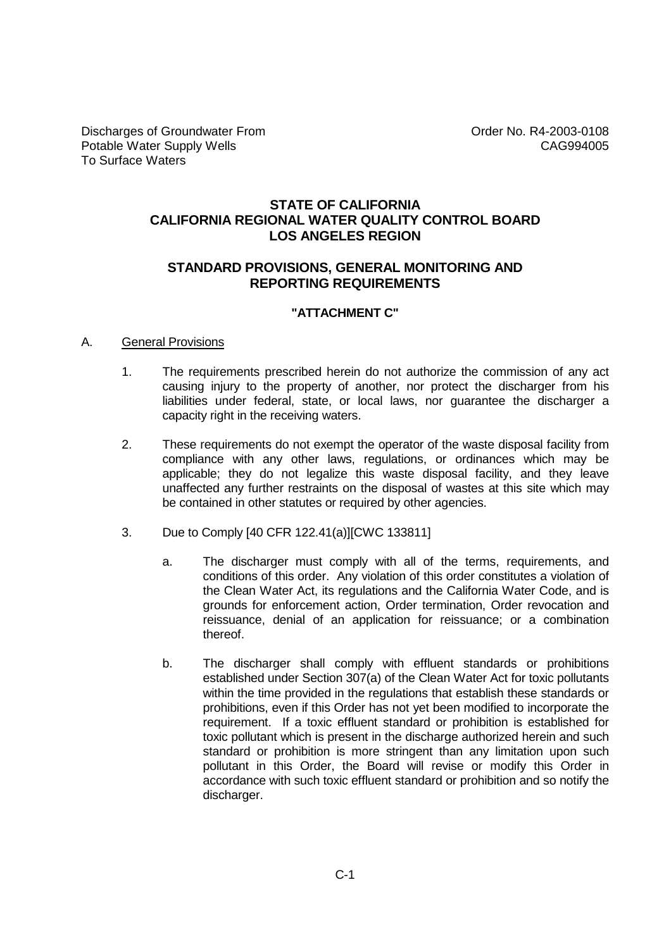# **STATE OF CALIFORNIA CALIFORNIA REGIONAL WATER QUALITY CONTROL BOARD LOS ANGELES REGION**

## **STANDARD PROVISIONS, GENERAL MONITORING AND REPORTING REQUIREMENTS**

### **"ATTACHMENT C"**

### A. General Provisions

- 1. The requirements prescribed herein do not authorize the commission of any act causing injury to the property of another, nor protect the discharger from his liabilities under federal, state, or local laws, nor guarantee the discharger a capacity right in the receiving waters.
- 2. These requirements do not exempt the operator of the waste disposal facility from compliance with any other laws, regulations, or ordinances which may be applicable; they do not legalize this waste disposal facility, and they leave unaffected any further restraints on the disposal of wastes at this site which may be contained in other statutes or required by other agencies.
- 3. Due to Comply [40 CFR 122.41(a)][CWC 133811]
	- a. The discharger must comply with all of the terms, requirements, and conditions of this order. Any violation of this order constitutes a violation of the Clean Water Act, its regulations and the California Water Code, and is grounds for enforcement action, Order termination, Order revocation and reissuance, denial of an application for reissuance; or a combination thereof.
	- b. The discharger shall comply with effluent standards or prohibitions established under Section 307(a) of the Clean Water Act for toxic pollutants within the time provided in the regulations that establish these standards or prohibitions, even if this Order has not yet been modified to incorporate the requirement. If a toxic effluent standard or prohibition is established for toxic pollutant which is present in the discharge authorized herein and such standard or prohibition is more stringent than any limitation upon such pollutant in this Order, the Board will revise or modify this Order in accordance with such toxic effluent standard or prohibition and so notify the discharger.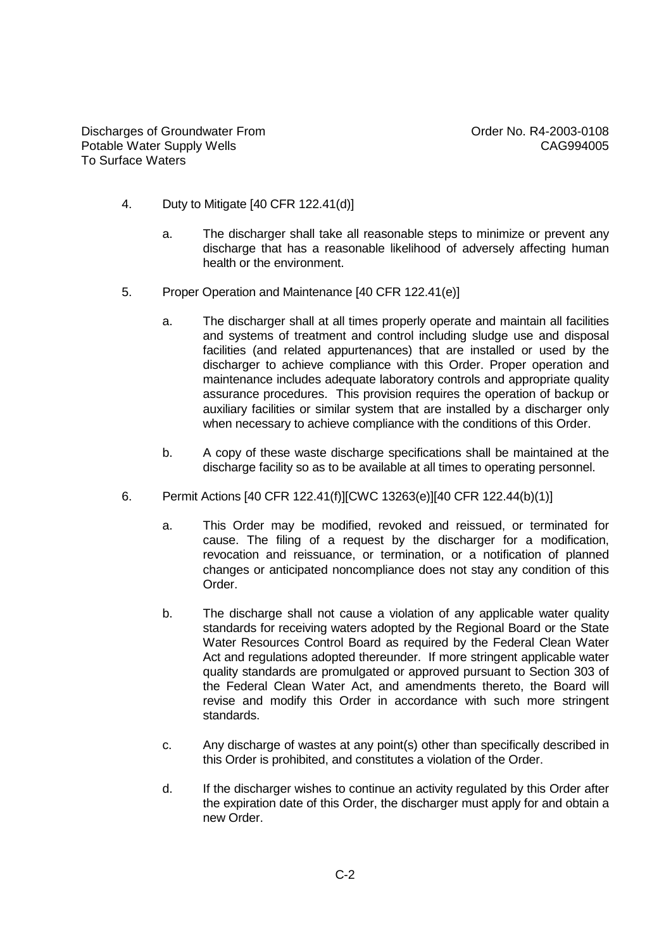- 4. Duty to Mitigate [40 CFR 122.41(d)]
	- a. The discharger shall take all reasonable steps to minimize or prevent any discharge that has a reasonable likelihood of adversely affecting human health or the environment.
- 5. Proper Operation and Maintenance [40 CFR 122.41(e)]
	- a. The discharger shall at all times properly operate and maintain all facilities and systems of treatment and control including sludge use and disposal facilities (and related appurtenances) that are installed or used by the discharger to achieve compliance with this Order. Proper operation and maintenance includes adequate laboratory controls and appropriate quality assurance procedures. This provision requires the operation of backup or auxiliary facilities or similar system that are installed by a discharger only when necessary to achieve compliance with the conditions of this Order.
	- b. A copy of these waste discharge specifications shall be maintained at the discharge facility so as to be available at all times to operating personnel.
- 6. Permit Actions [40 CFR 122.41(f)][CWC 13263(e)][40 CFR 122.44(b)(1)]
	- a. This Order may be modified, revoked and reissued, or terminated for cause. The filing of a request by the discharger for a modification, revocation and reissuance, or termination, or a notification of planned changes or anticipated noncompliance does not stay any condition of this Order.
	- b. The discharge shall not cause a violation of any applicable water quality standards for receiving waters adopted by the Regional Board or the State Water Resources Control Board as required by the Federal Clean Water Act and regulations adopted thereunder. If more stringent applicable water quality standards are promulgated or approved pursuant to Section 303 of the Federal Clean Water Act, and amendments thereto, the Board will revise and modify this Order in accordance with such more stringent standards.
	- c. Any discharge of wastes at any point(s) other than specifically described in this Order is prohibited, and constitutes a violation of the Order.
	- d. If the discharger wishes to continue an activity regulated by this Order after the expiration date of this Order, the discharger must apply for and obtain a new Order.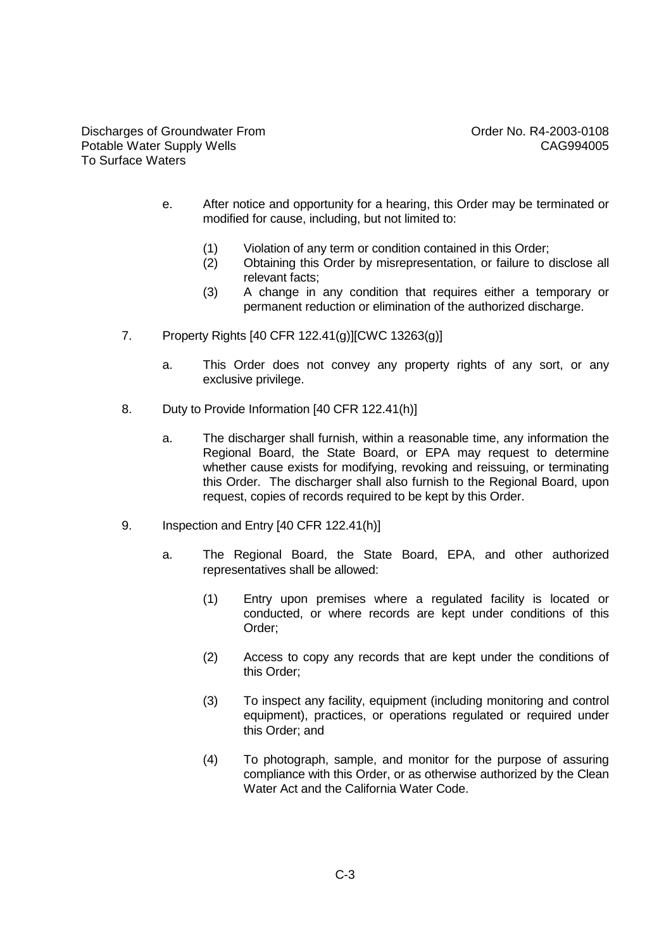- e. After notice and opportunity for a hearing, this Order may be terminated or modified for cause, including, but not limited to:
	- (1) Violation of any term or condition contained in this Order;
	- (2) Obtaining this Order by misrepresentation, or failure to disclose all relevant facts;
	- (3) A change in any condition that requires either a temporary or permanent reduction or elimination of the authorized discharge.
- 7. Property Rights [40 CFR 122.41(g)][CWC 13263(g)]
	- a. This Order does not convey any property rights of any sort, or any exclusive privilege.
- 8. Duty to Provide Information [40 CFR 122.41(h)]
	- a. The discharger shall furnish, within a reasonable time, any information the Regional Board, the State Board, or EPA may request to determine whether cause exists for modifying, revoking and reissuing, or terminating this Order. The discharger shall also furnish to the Regional Board, upon request, copies of records required to be kept by this Order.
- 9. Inspection and Entry [40 CFR 122.41(h)]
	- a. The Regional Board, the State Board, EPA, and other authorized representatives shall be allowed:
		- (1) Entry upon premises where a regulated facility is located or conducted, or where records are kept under conditions of this Order;
		- (2) Access to copy any records that are kept under the conditions of this Order;
		- (3) To inspect any facility, equipment (including monitoring and control equipment), practices, or operations regulated or required under this Order; and
		- (4) To photograph, sample, and monitor for the purpose of assuring compliance with this Order, or as otherwise authorized by the Clean Water Act and the California Water Code.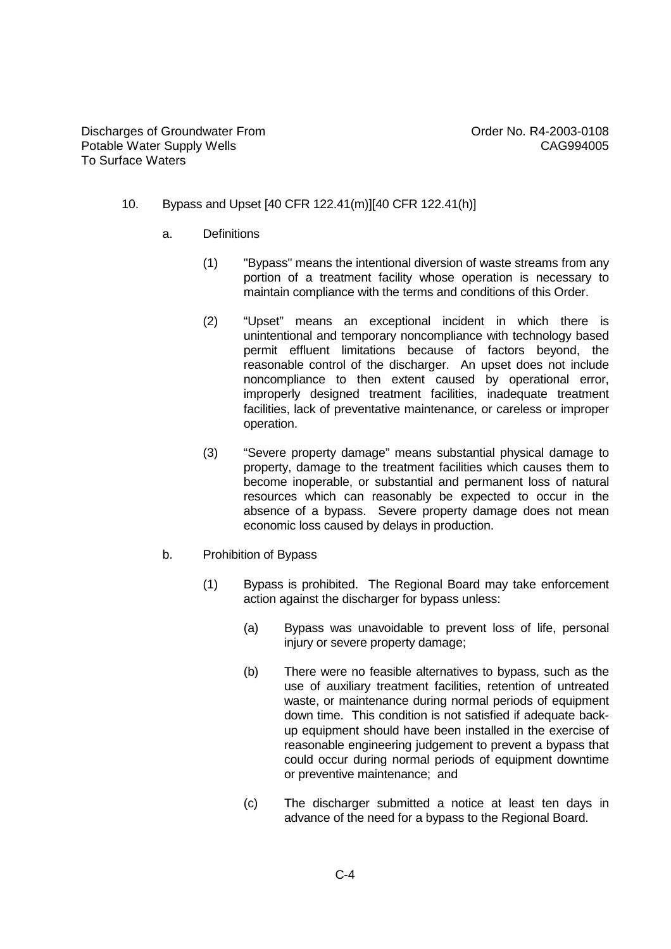### 10. Bypass and Upset [40 CFR 122.41(m)][40 CFR 122.41(h)]

- a. Definitions
	- (1) "Bypass" means the intentional diversion of waste streams from any portion of a treatment facility whose operation is necessary to maintain compliance with the terms and conditions of this Order.
	- (2) "Upset" means an exceptional incident in which there is unintentional and temporary noncompliance with technology based permit effluent limitations because of factors beyond, the reasonable control of the discharger. An upset does not include noncompliance to then extent caused by operational error, improperly designed treatment facilities, inadequate treatment facilities, lack of preventative maintenance, or careless or improper operation.
	- (3) "Severe property damage" means substantial physical damage to property, damage to the treatment facilities which causes them to become inoperable, or substantial and permanent loss of natural resources which can reasonably be expected to occur in the absence of a bypass. Severe property damage does not mean economic loss caused by delays in production.
- b. Prohibition of Bypass
	- (1) Bypass is prohibited. The Regional Board may take enforcement action against the discharger for bypass unless:
		- (a) Bypass was unavoidable to prevent loss of life, personal injury or severe property damage;
		- (b) There were no feasible alternatives to bypass, such as the use of auxiliary treatment facilities, retention of untreated waste, or maintenance during normal periods of equipment down time. This condition is not satisfied if adequate backup equipment should have been installed in the exercise of reasonable engineering judgement to prevent a bypass that could occur during normal periods of equipment downtime or preventive maintenance; and
		- (c) The discharger submitted a notice at least ten days in advance of the need for a bypass to the Regional Board.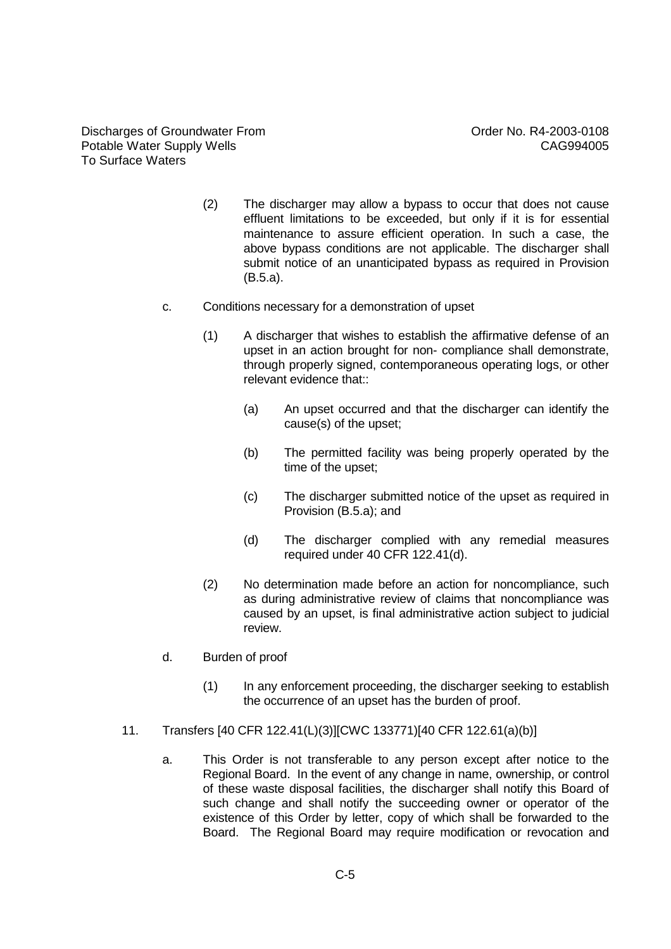Discharges of Groundwater From Discharges of Groundwater From Context Context Context Context Context Order No. R4-2003-0108 Potable Water Supply Wells **CAG994005** To Surface Waters

- (2) The discharger may allow a bypass to occur that does not cause effluent limitations to be exceeded, but only if it is for essential maintenance to assure efficient operation. In such a case, the above bypass conditions are not applicable. The discharger shall submit notice of an unanticipated bypass as required in Provision (B.5.a).
- c. Conditions necessary for a demonstration of upset
	- (1) A discharger that wishes to establish the affirmative defense of an upset in an action brought for non- compliance shall demonstrate, through properly signed, contemporaneous operating logs, or other relevant evidence that:
		- (a) An upset occurred and that the discharger can identify the cause(s) of the upset;
		- (b) The permitted facility was being properly operated by the time of the upset;
		- (c) The discharger submitted notice of the upset as required in Provision (B.5.a); and
		- (d) The discharger complied with any remedial measures required under 40 CFR 122.41(d).
	- (2) No determination made before an action for noncompliance, such as during administrative review of claims that noncompliance was caused by an upset, is final administrative action subject to judicial review.
- d. Burden of proof
	- (1) In any enforcement proceeding, the discharger seeking to establish the occurrence of an upset has the burden of proof.
- 11. Transfers [40 CFR 122.41(L)(3)][CWC 133771)[40 CFR 122.61(a)(b)]
	- a. This Order is not transferable to any person except after notice to the Regional Board. In the event of any change in name, ownership, or control of these waste disposal facilities, the discharger shall notify this Board of such change and shall notify the succeeding owner or operator of the existence of this Order by letter, copy of which shall be forwarded to the Board. The Regional Board may require modification or revocation and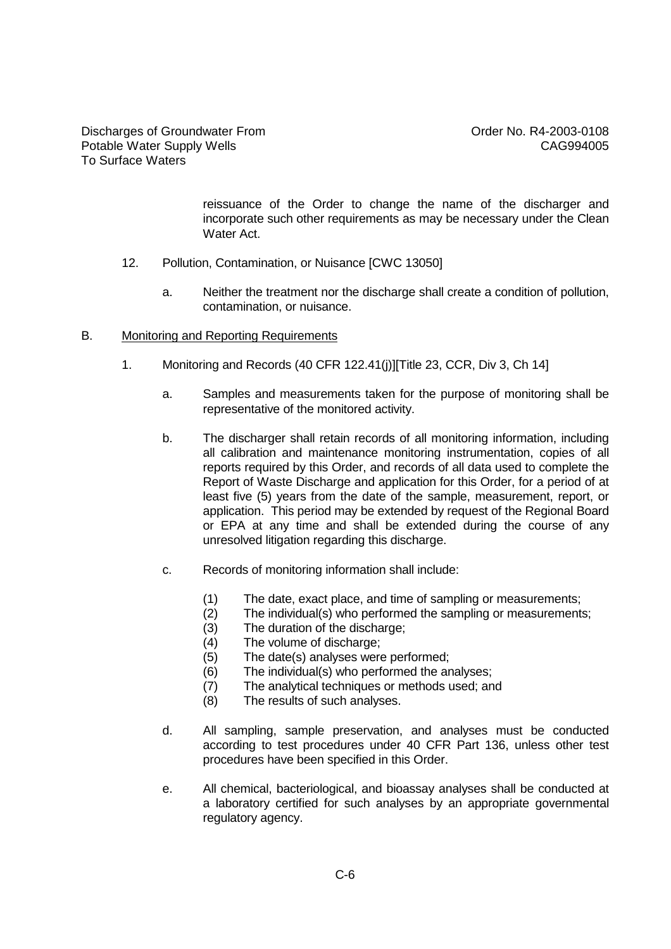reissuance of the Order to change the name of the discharger and incorporate such other requirements as may be necessary under the Clean Water Act.

- 12. Pollution, Contamination, or Nuisance [CWC 13050]
	- a. Neither the treatment nor the discharge shall create a condition of pollution, contamination, or nuisance.
- B. Monitoring and Reporting Requirements
	- 1. Monitoring and Records (40 CFR 122.41(j)][Title 23, CCR, Div 3, Ch 14]
		- a. Samples and measurements taken for the purpose of monitoring shall be representative of the monitored activity.
		- b. The discharger shall retain records of all monitoring information, including all calibration and maintenance monitoring instrumentation, copies of all reports required by this Order, and records of all data used to complete the Report of Waste Discharge and application for this Order, for a period of at least five (5) years from the date of the sample, measurement, report, or application. This period may be extended by request of the Regional Board or EPA at any time and shall be extended during the course of any unresolved litigation regarding this discharge.
		- c. Records of monitoring information shall include:
			- (1) The date, exact place, and time of sampling or measurements;
			- (2) The individual(s) who performed the sampling or measurements;
			- (3) The duration of the discharge;
			- (4) The volume of discharge;
			- (5) The date(s) analyses were performed;
			- (6) The individual(s) who performed the analyses;
			- (7) The analytical techniques or methods used; and
			- (8) The results of such analyses.
		- d. All sampling, sample preservation, and analyses must be conducted according to test procedures under 40 CFR Part 136, unless other test procedures have been specified in this Order.
		- e. All chemical, bacteriological, and bioassay analyses shall be conducted at a laboratory certified for such analyses by an appropriate governmental regulatory agency.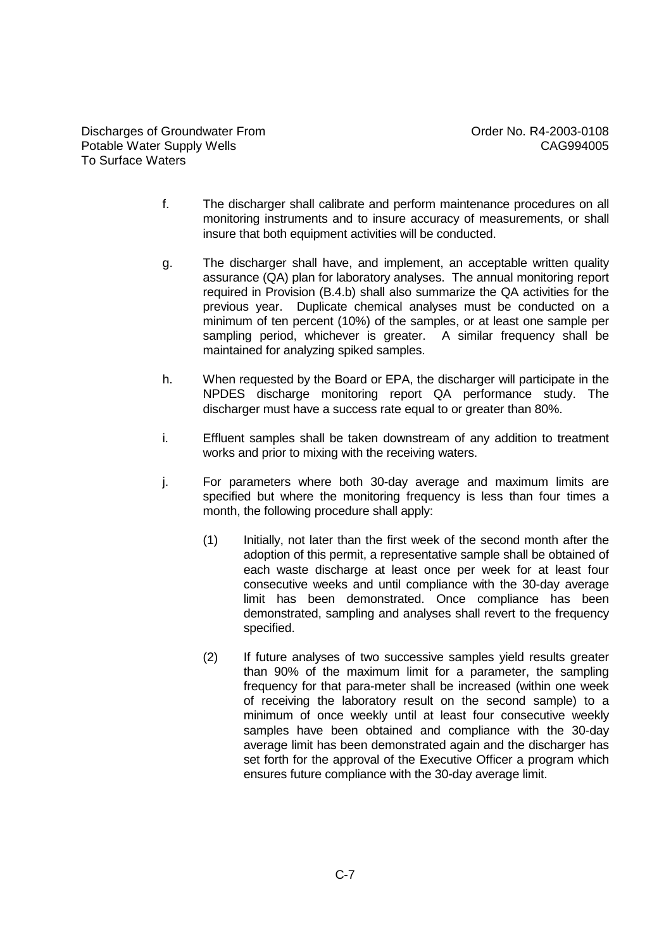Discharges of Groundwater From Controller Controller Controller No. R4-2003-0108 Potable Water Supply Wells **CAG994005** To Surface Waters

- f. The discharger shall calibrate and perform maintenance procedures on all monitoring instruments and to insure accuracy of measurements, or shall insure that both equipment activities will be conducted.
- g. The discharger shall have, and implement, an acceptable written quality assurance (QA) plan for laboratory analyses. The annual monitoring report required in Provision (B.4.b) shall also summarize the QA activities for the previous year. Duplicate chemical analyses must be conducted on a minimum of ten percent (10%) of the samples, or at least one sample per sampling period, whichever is greater. A similar frequency shall be maintained for analyzing spiked samples.
- h. When requested by the Board or EPA, the discharger will participate in the NPDES discharge monitoring report QA performance study. The discharger must have a success rate equal to or greater than 80%.
- i. Effluent samples shall be taken downstream of any addition to treatment works and prior to mixing with the receiving waters.
- j. For parameters where both 30-day average and maximum limits are specified but where the monitoring frequency is less than four times a month, the following procedure shall apply:
	- (1) Initially, not later than the first week of the second month after the adoption of this permit, a representative sample shall be obtained of each waste discharge at least once per week for at least four consecutive weeks and until compliance with the 30-day average limit has been demonstrated. Once compliance has been demonstrated, sampling and analyses shall revert to the frequency specified.
	- (2) If future analyses of two successive samples yield results greater than 90% of the maximum limit for a parameter, the sampling frequency for that para-meter shall be increased (within one week of receiving the laboratory result on the second sample) to a minimum of once weekly until at least four consecutive weekly samples have been obtained and compliance with the 30-day average limit has been demonstrated again and the discharger has set forth for the approval of the Executive Officer a program which ensures future compliance with the 30-day average limit.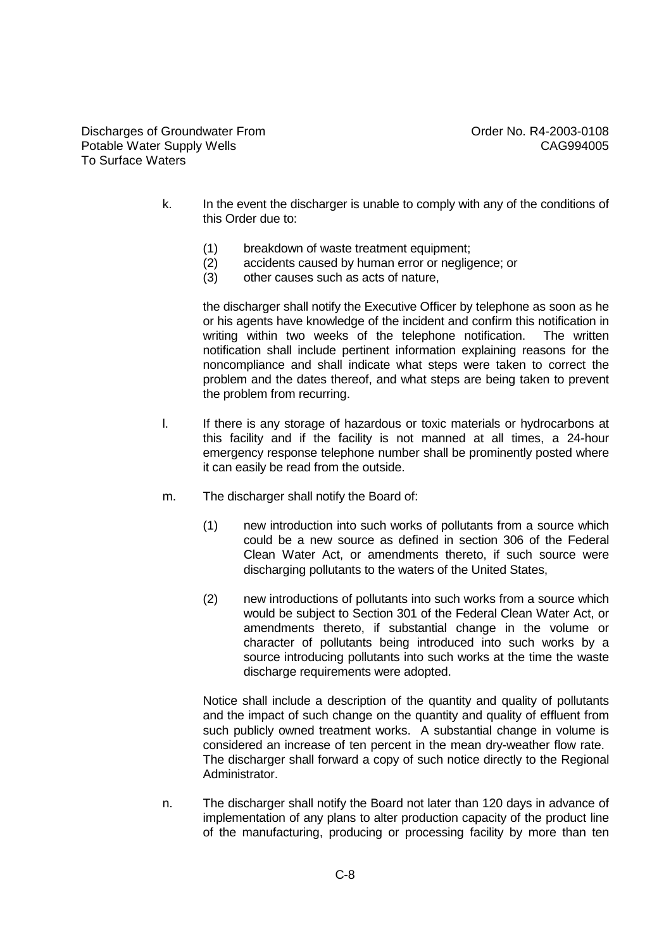Discharges of Groundwater From Discharges of Groundwater From Context Context Context Context Context Order No. R4-2003-0108 Potable Water Supply Wells **CAG994005** To Surface Waters

- k. In the event the discharger is unable to comply with any of the conditions of this Order due to:
	- (1) breakdown of waste treatment equipment;
	- (2) accidents caused by human error or negligence; or
	- (3) other causes such as acts of nature,

the discharger shall notify the Executive Officer by telephone as soon as he or his agents have knowledge of the incident and confirm this notification in writing within two weeks of the telephone notification. The written notification shall include pertinent information explaining reasons for the noncompliance and shall indicate what steps were taken to correct the problem and the dates thereof, and what steps are being taken to prevent the problem from recurring.

- l. If there is any storage of hazardous or toxic materials or hydrocarbons at this facility and if the facility is not manned at all times, a 24-hour emergency response telephone number shall be prominently posted where it can easily be read from the outside.
- m. The discharger shall notify the Board of:
	- (1) new introduction into such works of pollutants from a source which could be a new source as defined in section 306 of the Federal Clean Water Act, or amendments thereto, if such source were discharging pollutants to the waters of the United States,
	- (2) new introductions of pollutants into such works from a source which would be subject to Section 301 of the Federal Clean Water Act, or amendments thereto, if substantial change in the volume or character of pollutants being introduced into such works by a source introducing pollutants into such works at the time the waste discharge requirements were adopted.

Notice shall include a description of the quantity and quality of pollutants and the impact of such change on the quantity and quality of effluent from such publicly owned treatment works. A substantial change in volume is considered an increase of ten percent in the mean dry-weather flow rate. The discharger shall forward a copy of such notice directly to the Regional Administrator.

n. The discharger shall notify the Board not later than 120 days in advance of implementation of any plans to alter production capacity of the product line of the manufacturing, producing or processing facility by more than ten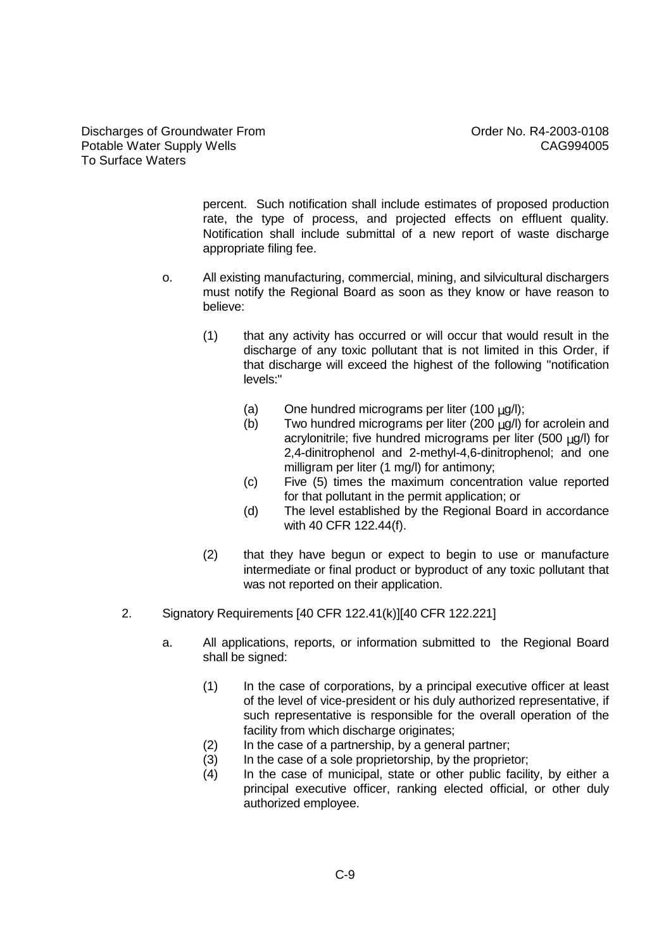percent. Such notification shall include estimates of proposed production rate, the type of process, and projected effects on effluent quality. Notification shall include submittal of a new report of waste discharge appropriate filing fee.

- o. All existing manufacturing, commercial, mining, and silvicultural dischargers must notify the Regional Board as soon as they know or have reason to believe:
	- (1) that any activity has occurred or will occur that would result in the discharge of any toxic pollutant that is not limited in this Order, if that discharge will exceed the highest of the following "notification levels:"
		- (a) One hundred micrograms per liter (100  $\mu$ g/l);
		- (b) Two hundred micrograms per liter (200  $\mu$ g/l) for acrolein and acrylonitrile; five hundred micrograms per liter (500  $\mu$ g/l) for 2,4-dinitrophenol and 2-methyl-4,6-dinitrophenol; and one milligram per liter (1 mg/l) for antimony;
		- (c) Five (5) times the maximum concentration value reported for that pollutant in the permit application; or
		- (d) The level established by the Regional Board in accordance with 40 CFR 122.44(f).
	- (2) that they have begun or expect to begin to use or manufacture intermediate or final product or byproduct of any toxic pollutant that was not reported on their application.
- 2. Signatory Requirements [40 CFR 122.41(k)][40 CFR 122.221]
	- a. All applications, reports, or information submitted to the Regional Board shall be signed:
		- (1) In the case of corporations, by a principal executive officer at least of the level of vice-president or his duly authorized representative, if such representative is responsible for the overall operation of the facility from which discharge originates;
		- (2) In the case of a partnership, by a general partner;
		- (3) In the case of a sole proprietorship, by the proprietor;
		- (4) In the case of municipal, state or other public facility, by either a principal executive officer, ranking elected official, or other duly authorized employee.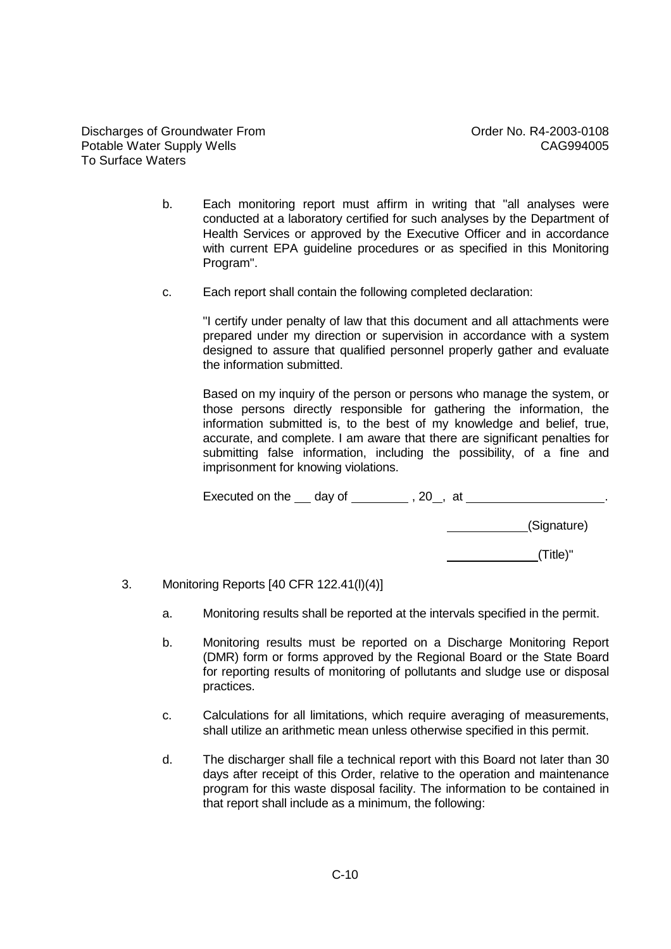- b. Each monitoring report must affirm in writing that "all analyses were conducted at a laboratory certified for such analyses by the Department of Health Services or approved by the Executive Officer and in accordance with current EPA guideline procedures or as specified in this Monitoring Program".
- c. Each report shall contain the following completed declaration:

"I certify under penalty of law that this document and all attachments were prepared under my direction or supervision in accordance with a system designed to assure that qualified personnel properly gather and evaluate the information submitted.

Based on my inquiry of the person or persons who manage the system, or those persons directly responsible for gathering the information, the information submitted is, to the best of my knowledge and belief, true, accurate, and complete. I am aware that there are significant penalties for submitting false information, including the possibility, of a fine and imprisonment for knowing violations.

Executed on the  $\_\_$  day of  $\_\_$ , 20, at  $\_\_$ , 20, at  $\_\_$ ,  $\_\_$ ,  $\_\_$ .

(Signature)

(Title)"

- 3. Monitoring Reports [40 CFR 122.41(l)(4)]
	- a. Monitoring results shall be reported at the intervals specified in the permit.
	- b. Monitoring results must be reported on a Discharge Monitoring Report (DMR) form or forms approved by the Regional Board or the State Board for reporting results of monitoring of pollutants and sludge use or disposal practices.
	- c. Calculations for all limitations, which require averaging of measurements, shall utilize an arithmetic mean unless otherwise specified in this permit.
	- d. The discharger shall file a technical report with this Board not later than 30 days after receipt of this Order, relative to the operation and maintenance program for this waste disposal facility. The information to be contained in that report shall include as a minimum, the following: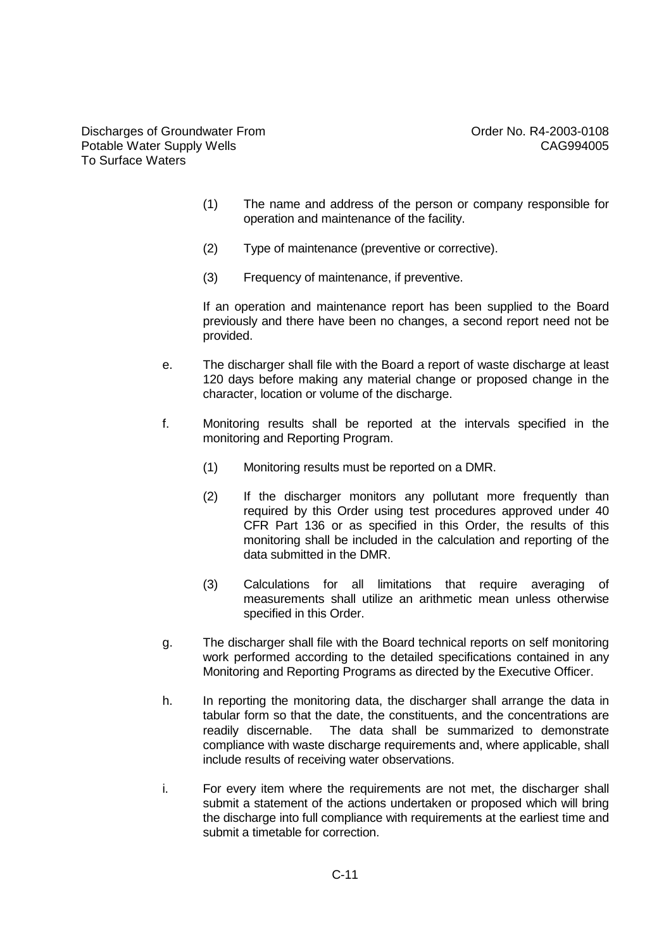Discharges of Groundwater From Discharges of Groundwater From Context Context Context Context Context Order No. R4-2003-0108 Potable Water Supply Wells **CAG994005** To Surface Waters

- (1) The name and address of the person or company responsible for operation and maintenance of the facility.
- (2) Type of maintenance (preventive or corrective).
- (3) Frequency of maintenance, if preventive.

If an operation and maintenance report has been supplied to the Board previously and there have been no changes, a second report need not be provided.

- e. The discharger shall file with the Board a report of waste discharge at least 120 days before making any material change or proposed change in the character, location or volume of the discharge.
- f. Monitoring results shall be reported at the intervals specified in the monitoring and Reporting Program.
	- (1) Monitoring results must be reported on a DMR.
	- (2) If the discharger monitors any pollutant more frequently than required by this Order using test procedures approved under 40 CFR Part 136 or as specified in this Order, the results of this monitoring shall be included in the calculation and reporting of the data submitted in the DMR.
	- (3) Calculations for all limitations that require averaging of measurements shall utilize an arithmetic mean unless otherwise specified in this Order.
- g. The discharger shall file with the Board technical reports on self monitoring work performed according to the detailed specifications contained in any Monitoring and Reporting Programs as directed by the Executive Officer.
- h. In reporting the monitoring data, the discharger shall arrange the data in tabular form so that the date, the constituents, and the concentrations are readily discernable. The data shall be summarized to demonstrate compliance with waste discharge requirements and, where applicable, shall include results of receiving water observations.
- i. For every item where the requirements are not met, the discharger shall submit a statement of the actions undertaken or proposed which will bring the discharge into full compliance with requirements at the earliest time and submit a timetable for correction.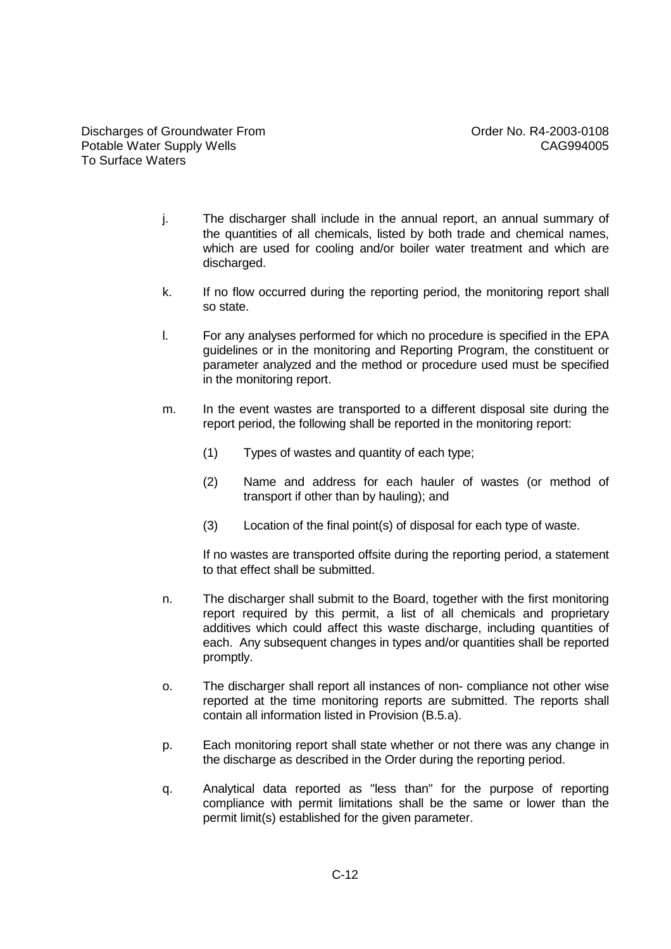- j. The discharger shall include in the annual report, an annual summary of the quantities of all chemicals, listed by both trade and chemical names, which are used for cooling and/or boiler water treatment and which are discharged.
- k. If no flow occurred during the reporting period, the monitoring report shall so state.
- l. For any analyses performed for which no procedure is specified in the EPA guidelines or in the monitoring and Reporting Program, the constituent or parameter analyzed and the method or procedure used must be specified in the monitoring report.
- m. In the event wastes are transported to a different disposal site during the report period, the following shall be reported in the monitoring report:
	- (1) Types of wastes and quantity of each type;
	- (2) Name and address for each hauler of wastes (or method of transport if other than by hauling); and
	- (3) Location of the final point(s) of disposal for each type of waste.

If no wastes are transported offsite during the reporting period, a statement to that effect shall be submitted.

- n. The discharger shall submit to the Board, together with the first monitoring report required by this permit, a list of all chemicals and proprietary additives which could affect this waste discharge, including quantities of each. Any subsequent changes in types and/or quantities shall be reported promptly.
- o. The discharger shall report all instances of non- compliance not other wise reported at the time monitoring reports are submitted. The reports shall contain all information listed in Provision (B.5.a).
- p. Each monitoring report shall state whether or not there was any change in the discharge as described in the Order during the reporting period.
- q. Analytical data reported as "less than" for the purpose of reporting compliance with permit limitations shall be the same or lower than the permit limit(s) established for the given parameter.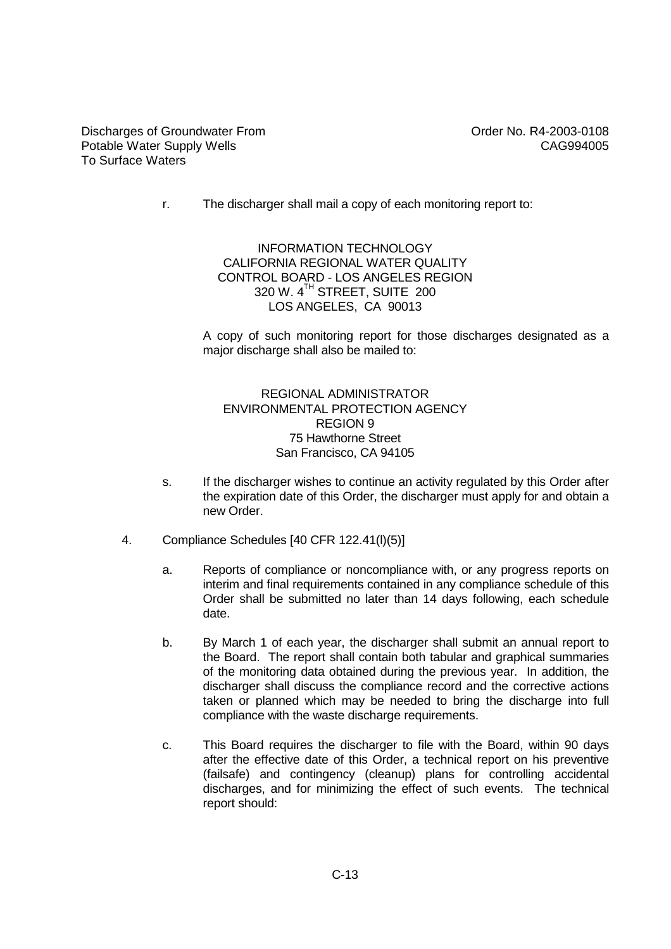r. The discharger shall mail a copy of each monitoring report to:

INFORMATION TECHNOLOGY CALIFORNIA REGIONAL WATER QUALITY CONTROL BOARD - LOS ANGELES REGION 320 W. 4 TH STREET, SUITE 200 LOS ANGELES, CA 90013

A copy of such monitoring report for those discharges designated as a major discharge shall also be mailed to:

#### REGIONAL ADMINISTRATOR ENVIRONMENTAL PROTECTION AGENCY REGION 9 75 Hawthorne Street San Francisco, CA 94105

- s. If the discharger wishes to continue an activity regulated by this Order after the expiration date of this Order, the discharger must apply for and obtain a new Order.
- 4. Compliance Schedules [40 CFR 122.41(l)(5)]
	- a. Reports of compliance or noncompliance with, or any progress reports on interim and final requirements contained in any compliance schedule of this Order shall be submitted no later than 14 days following, each schedule date.
	- b. By March 1 of each year, the discharger shall submit an annual report to the Board. The report shall contain both tabular and graphical summaries of the monitoring data obtained during the previous year. In addition, the discharger shall discuss the compliance record and the corrective actions taken or planned which may be needed to bring the discharge into full compliance with the waste discharge requirements.
	- c. This Board requires the discharger to file with the Board, within 90 days after the effective date of this Order, a technical report on his preventive (failsafe) and contingency (cleanup) plans for controlling accidental discharges, and for minimizing the effect of such events. The technical report should: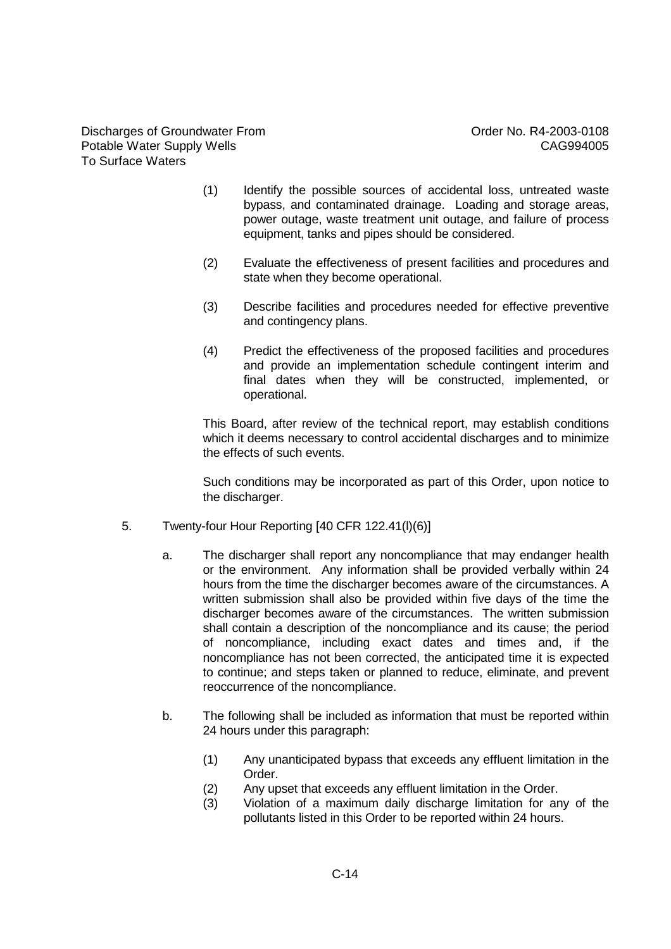Discharges of Groundwater From Discharges of Groundwater From Context Context Context Context Order No. R4-2003-0108 Potable Water Supply Wells **CAG994005** To Surface Waters

- (1) Identify the possible sources of accidental loss, untreated waste bypass, and contaminated drainage. Loading and storage areas, power outage, waste treatment unit outage, and failure of process equipment, tanks and pipes should be considered.
- (2) Evaluate the effectiveness of present facilities and procedures and state when they become operational.
- (3) Describe facilities and procedures needed for effective preventive and contingency plans.
- (4) Predict the effectiveness of the proposed facilities and procedures and provide an implementation schedule contingent interim and final dates when they will be constructed, implemented, or operational.

This Board, after review of the technical report, may establish conditions which it deems necessary to control accidental discharges and to minimize the effects of such events.

Such conditions may be incorporated as part of this Order, upon notice to the discharger.

- 5. Twenty-four Hour Reporting [40 CFR 122.41(l)(6)]
	- a. The discharger shall report any noncompliance that may endanger health or the environment. Any information shall be provided verbally within 24 hours from the time the discharger becomes aware of the circumstances. A written submission shall also be provided within five days of the time the discharger becomes aware of the circumstances. The written submission shall contain a description of the noncompliance and its cause; the period of noncompliance, including exact dates and times and, if the noncompliance has not been corrected, the anticipated time it is expected to continue; and steps taken or planned to reduce, eliminate, and prevent reoccurrence of the noncompliance.
	- b. The following shall be included as information that must be reported within 24 hours under this paragraph:
		- (1) Any unanticipated bypass that exceeds any effluent limitation in the Order.
		- (2) Any upset that exceeds any effluent limitation in the Order.
		- (3) Violation of a maximum daily discharge limitation for any of the pollutants listed in this Order to be reported within 24 hours.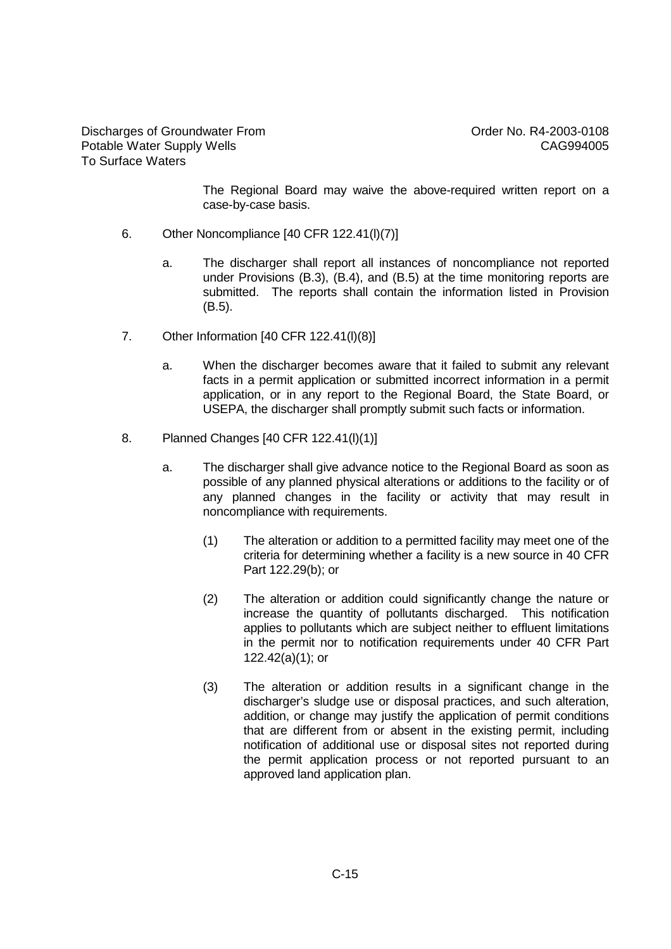The Regional Board may waive the above-required written report on a case-by-case basis.

- 6. Other Noncompliance [40 CFR 122.41(l)(7)]
	- a. The discharger shall report all instances of noncompliance not reported under Provisions (B.3), (B.4), and (B.5) at the time monitoring reports are submitted. The reports shall contain the information listed in Provision (B.5).
- 7. Other Information [40 CFR 122.41(l)(8)]
	- a. When the discharger becomes aware that it failed to submit any relevant facts in a permit application or submitted incorrect information in a permit application, or in any report to the Regional Board, the State Board, or USEPA, the discharger shall promptly submit such facts or information.
- 8. Planned Changes [40 CFR 122.41(l)(1)]
	- a. The discharger shall give advance notice to the Regional Board as soon as possible of any planned physical alterations or additions to the facility or of any planned changes in the facility or activity that may result in noncompliance with requirements.
		- (1) The alteration or addition to a permitted facility may meet one of the criteria for determining whether a facility is a new source in 40 CFR Part 122.29(b); or
		- (2) The alteration or addition could significantly change the nature or increase the quantity of pollutants discharged. This notification applies to pollutants which are subject neither to effluent limitations in the permit nor to notification requirements under 40 CFR Part 122.42(a)(1); or
		- (3) The alteration or addition results in a significant change in the discharger's sludge use or disposal practices, and such alteration, addition, or change may justify the application of permit conditions that are different from or absent in the existing permit, including notification of additional use or disposal sites not reported during the permit application process or not reported pursuant to an approved land application plan.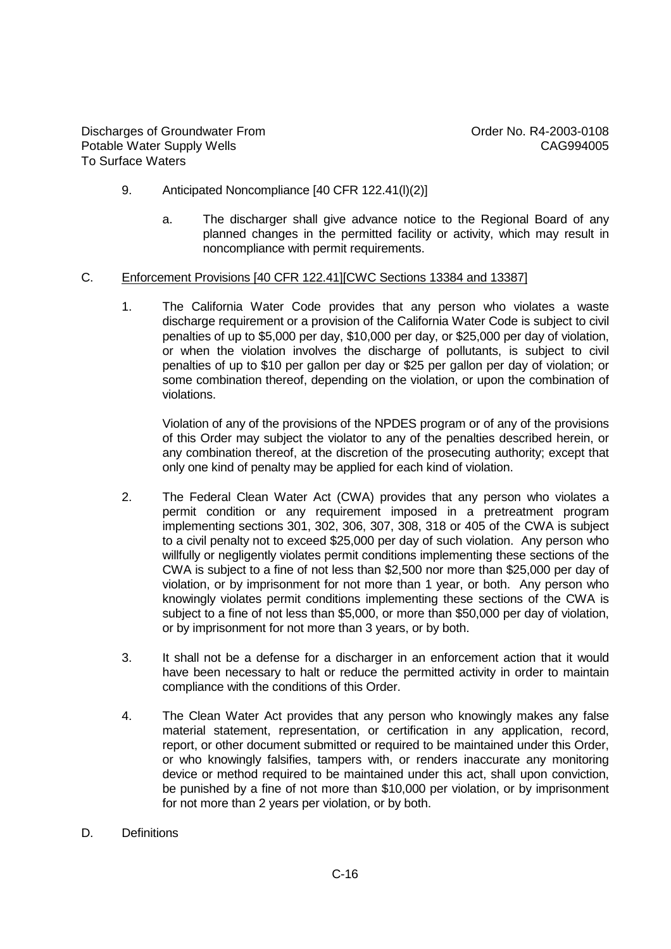- 9. Anticipated Noncompliance [40 CFR 122.41(l)(2)]
	- a. The discharger shall give advance notice to the Regional Board of any planned changes in the permitted facility or activity, which may result in noncompliance with permit requirements.

#### C. Enforcement Provisions [40 CFR 122.41][CWC Sections 13384 and 13387]

1. The California Water Code provides that any person who violates a waste discharge requirement or a provision of the California Water Code is subject to civil penalties of up to \$5,000 per day, \$10,000 per day, or \$25,000 per day of violation, or when the violation involves the discharge of pollutants, is subject to civil penalties of up to \$10 per gallon per day or \$25 per gallon per day of violation; or some combination thereof, depending on the violation, or upon the combination of violations.

Violation of any of the provisions of the NPDES program or of any of the provisions of this Order may subject the violator to any of the penalties described herein, or any combination thereof, at the discretion of the prosecuting authority; except that only one kind of penalty may be applied for each kind of violation.

- 2. The Federal Clean Water Act (CWA) provides that any person who violates a permit condition or any requirement imposed in a pretreatment program implementing sections 301, 302, 306, 307, 308, 318 or 405 of the CWA is subject to a civil penalty not to exceed \$25,000 per day of such violation. Any person who willfully or negligently violates permit conditions implementing these sections of the CWA is subject to a fine of not less than \$2,500 nor more than \$25,000 per day of violation, or by imprisonment for not more than 1 year, or both. Any person who knowingly violates permit conditions implementing these sections of the CWA is subject to a fine of not less than \$5,000, or more than \$50,000 per day of violation, or by imprisonment for not more than 3 years, or by both.
- 3. It shall not be a defense for a discharger in an enforcement action that it would have been necessary to halt or reduce the permitted activity in order to maintain compliance with the conditions of this Order.
- 4. The Clean Water Act provides that any person who knowingly makes any false material statement, representation, or certification in any application, record, report, or other document submitted or required to be maintained under this Order, or who knowingly falsifies, tampers with, or renders inaccurate any monitoring device or method required to be maintained under this act, shall upon conviction, be punished by a fine of not more than \$10,000 per violation, or by imprisonment for not more than 2 years per violation, or by both.
- D. Definitions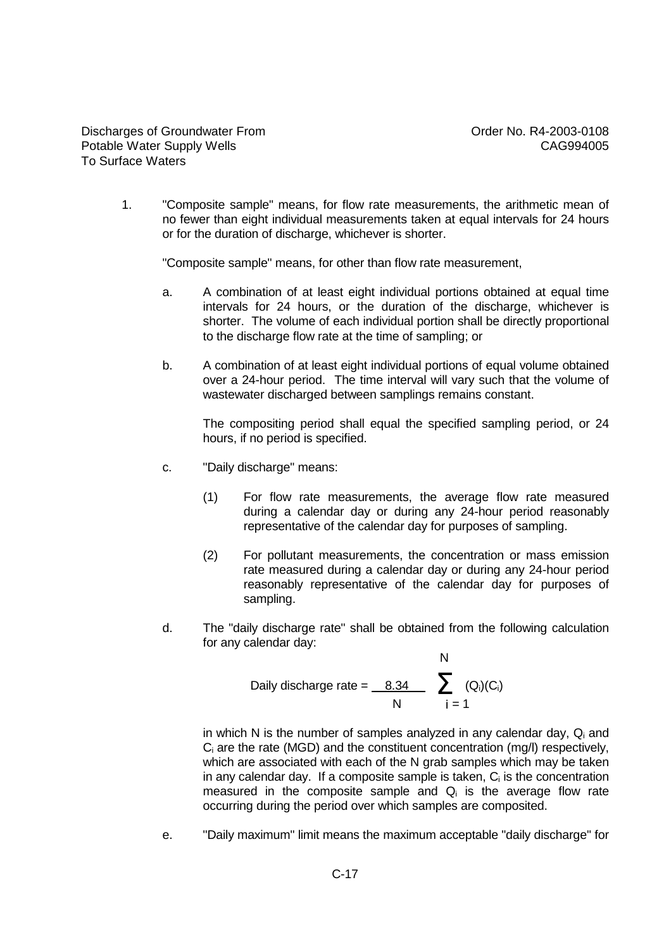1. "Composite sample" means, for flow rate measurements, the arithmetic mean of no fewer than eight individual measurements taken at equal intervals for 24 hours or for the duration of discharge, whichever is shorter.

"Composite sample" means, for other than flow rate measurement,

- a. A combination of at least eight individual portions obtained at equal time intervals for 24 hours, or the duration of the discharge, whichever is shorter. The volume of each individual portion shall be directly proportional to the discharge flow rate at the time of sampling; or
- b. A combination of at least eight individual portions of equal volume obtained over a 24-hour period. The time interval will vary such that the volume of wastewater discharged between samplings remains constant.

The compositing period shall equal the specified sampling period, or 24 hours, if no period is specified.

- c. "Daily discharge" means:
	- (1) For flow rate measurements, the average flow rate measured during a calendar day or during any 24-hour period reasonably representative of the calendar day for purposes of sampling.
	- (2) For pollutant measurements, the concentration or mass emission rate measured during a calendar day or during any 24-hour period reasonably representative of the calendar day for purposes of sampling.
- d. The "daily discharge rate" shall be obtained from the following calculation for any calendar day: N

Daily discharge rate = 
$$
\begin{array}{c|c}\n & \text{A} \\
\hline\n & \text{A} \\
\hline\n & \text{B} \\
\hline\n & \text{C}\n\end{array}
$$

in which N is the number of samples analyzed in any calendar day,  $Q_i$  and  $C_i$  are the rate (MGD) and the constituent concentration (mg/l) respectively, which are associated with each of the N grab samples which may be taken in any calendar day. If a composite sample is taken, C<sup>i</sup> is the concentration measured in the composite sample and  $Q_i$  is the average flow rate occurring during the period over which samples are composited.

e. "Daily maximum" limit means the maximum acceptable "daily discharge" for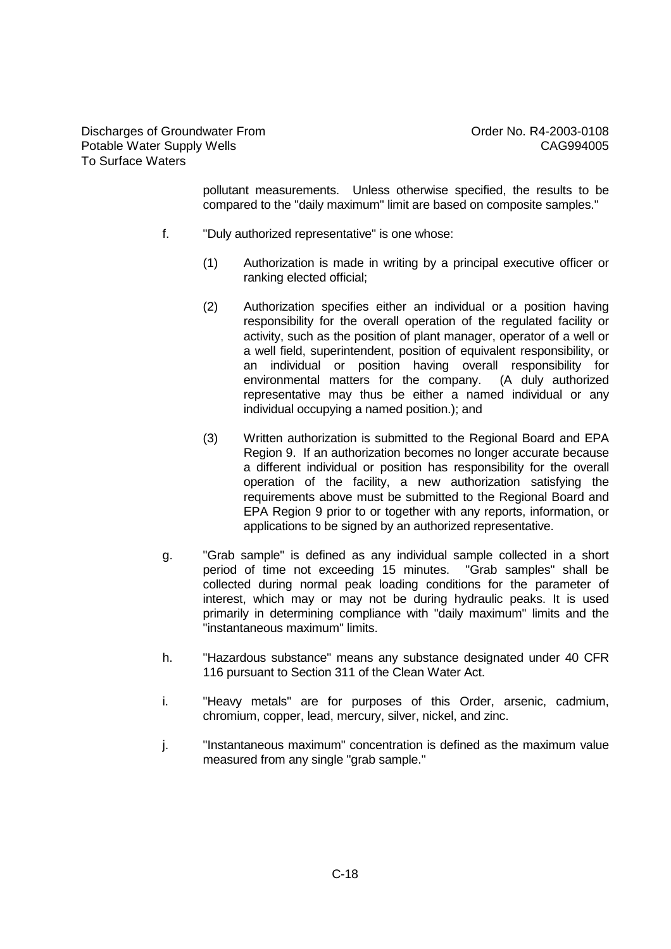pollutant measurements. Unless otherwise specified, the results to be compared to the "daily maximum" limit are based on composite samples."

- f. "Duly authorized representative" is one whose:
	- (1) Authorization is made in writing by a principal executive officer or ranking elected official;
	- (2) Authorization specifies either an individual or a position having responsibility for the overall operation of the regulated facility or activity, such as the position of plant manager, operator of a well or a well field, superintendent, position of equivalent responsibility, or an individual or position having overall responsibility for environmental matters for the company. (A duly authorized representative may thus be either a named individual or any individual occupying a named position.); and
	- (3) Written authorization is submitted to the Regional Board and EPA Region 9. If an authorization becomes no longer accurate because a different individual or position has responsibility for the overall operation of the facility, a new authorization satisfying the requirements above must be submitted to the Regional Board and EPA Region 9 prior to or together with any reports, information, or applications to be signed by an authorized representative.
- g. "Grab sample" is defined as any individual sample collected in a short period of time not exceeding 15 minutes. "Grab samples" shall be collected during normal peak loading conditions for the parameter of interest, which may or may not be during hydraulic peaks. It is used primarily in determining compliance with "daily maximum" limits and the "instantaneous maximum" limits.
- h. "Hazardous substance" means any substance designated under 40 CFR 116 pursuant to Section 311 of the Clean Water Act.
- i. "Heavy metals" are for purposes of this Order, arsenic, cadmium, chromium, copper, lead, mercury, silver, nickel, and zinc.
- j. "Instantaneous maximum" concentration is defined as the maximum value measured from any single "grab sample."